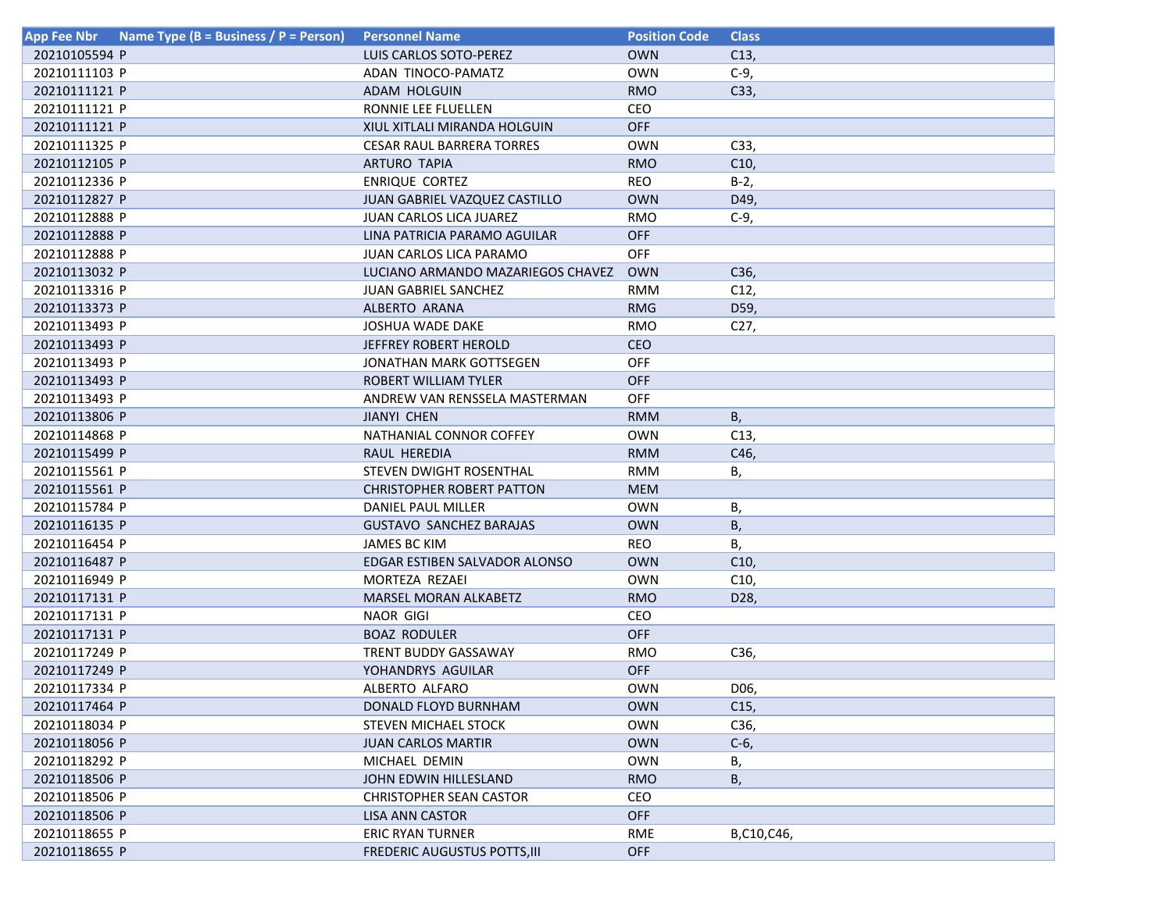| Name Type (B = Business / P = Person)<br>App Fee Nbr | <b>Personnel Name</b>             | <b>Position Code</b> | <b>Class</b>    |
|------------------------------------------------------|-----------------------------------|----------------------|-----------------|
| 20210105594 P                                        | LUIS CARLOS SOTO-PEREZ            | <b>OWN</b>           | C13,            |
| 20210111103 P                                        | ADAN TINOCO-PAMATZ                | <b>OWN</b>           | $C-9$ ,         |
| 20210111121 P                                        | ADAM HOLGUIN                      | <b>RMO</b>           | C33,            |
| 20210111121 P                                        | RONNIE LEE FLUELLEN               | CEO                  |                 |
| 20210111121 P                                        | XIUL XITLALI MIRANDA HOLGUIN      | OFF                  |                 |
| 20210111325 P                                        | <b>CESAR RAUL BARRERA TORRES</b>  | <b>OWN</b>           | C33,            |
| 20210112105 P                                        | <b>ARTURO TAPIA</b>               | <b>RMO</b>           | C10             |
| 20210112336 P                                        | <b>ENRIQUE CORTEZ</b>             | <b>REO</b>           | $B-2$           |
| 20210112827 P                                        | JUAN GABRIEL VAZQUEZ CASTILLO     | <b>OWN</b>           | D49,            |
| 20210112888 P                                        | JUAN CARLOS LICA JUAREZ           | <b>RMO</b>           | $C-9$           |
| 20210112888 P                                        | LINA PATRICIA PARAMO AGUILAR      | <b>OFF</b>           |                 |
| 20210112888 P                                        | JUAN CARLOS LICA PARAMO           | <b>OFF</b>           |                 |
| 20210113032 P                                        | LUCIANO ARMANDO MAZARIEGOS CHAVEZ | <b>OWN</b>           | C36,            |
| 20210113316 P                                        | <b>JUAN GABRIEL SANCHEZ</b>       | <b>RMM</b>           | C12,            |
| 20210113373 P                                        | ALBERTO ARANA                     | <b>RMG</b>           | D59,            |
| 20210113493 P                                        | <b>JOSHUA WADE DAKE</b>           | <b>RMO</b>           | C27,            |
| 20210113493 P                                        | <b>JEFFREY ROBERT HEROLD</b>      | <b>CEO</b>           |                 |
| 20210113493 P                                        | JONATHAN MARK GOTTSEGEN           | <b>OFF</b>           |                 |
| 20210113493 P                                        | ROBERT WILLIAM TYLER              | <b>OFF</b>           |                 |
| 20210113493 P                                        | ANDREW VAN RENSSELA MASTERMAN     | OFF                  |                 |
| 20210113806 P                                        | <b>JIANYI CHEN</b>                | <b>RMM</b>           | B,              |
| 20210114868 P                                        | NATHANIAL CONNOR COFFEY           | <b>OWN</b>           | C13,            |
| 20210115499 P                                        | RAUL HEREDIA                      | <b>RMM</b>           | C46,            |
| 20210115561 P                                        | STEVEN DWIGHT ROSENTHAL           | <b>RMM</b>           | В,              |
| 20210115561 P                                        | <b>CHRISTOPHER ROBERT PATTON</b>  | <b>MEM</b>           |                 |
| 20210115784 P                                        | DANIEL PAUL MILLER                | <b>OWN</b>           | В,              |
| 20210116135 P                                        | <b>GUSTAVO SANCHEZ BARAJAS</b>    | <b>OWN</b>           | В,              |
| 20210116454 P                                        | <b>JAMES BC KIM</b>               | <b>REO</b>           | В,              |
| 20210116487 P                                        | EDGAR ESTIBEN SALVADOR ALONSO     | <b>OWN</b>           | C10,            |
| 20210116949 P                                        | MORTEZA REZAEI                    | <b>OWN</b>           | C10,            |
| 20210117131 P                                        | <b>MARSEL MORAN ALKABETZ</b>      | <b>RMO</b>           | D28,            |
| 20210117131 P                                        | <b>NAOR GIGI</b>                  | <b>CEO</b>           |                 |
| 20210117131 P                                        | <b>BOAZ RODULER</b>               | <b>OFF</b>           |                 |
| 20210117249 P                                        | TRENT BUDDY GASSAWAY              | <b>RMO</b>           | C36,            |
| 20210117249 P                                        | YOHANDRYS AGUILAR                 | <b>OFF</b>           |                 |
| 20210117334 P                                        | ALBERTO ALFARO                    | <b>OWN</b>           | D06,            |
| 20210117464 P                                        | DONALD FLOYD BURNHAM              | <b>OWN</b>           | C <sub>15</sub> |
| 20210118034 P                                        | STEVEN MICHAEL STOCK              | <b>OWN</b>           | C36,            |
| 20210118056 P                                        | <b>JUAN CARLOS MARTIR</b>         | <b>OWN</b>           | $C-6$           |
| 20210118292 P                                        | MICHAEL DEMIN                     | <b>OWN</b>           | В,              |
| 20210118506 P                                        | JOHN EDWIN HILLESLAND             | <b>RMO</b>           | В,              |
| 20210118506 P                                        | <b>CHRISTOPHER SEAN CASTOR</b>    | CEO                  |                 |
| 20210118506 P                                        | LISA ANN CASTOR                   | <b>OFF</b>           |                 |
| 20210118655 P                                        | ERIC RYAN TURNER                  | RME                  | B,C10,C46,      |
| 20210118655 P                                        | FREDERIC AUGUSTUS POTTS, III      | <b>OFF</b>           |                 |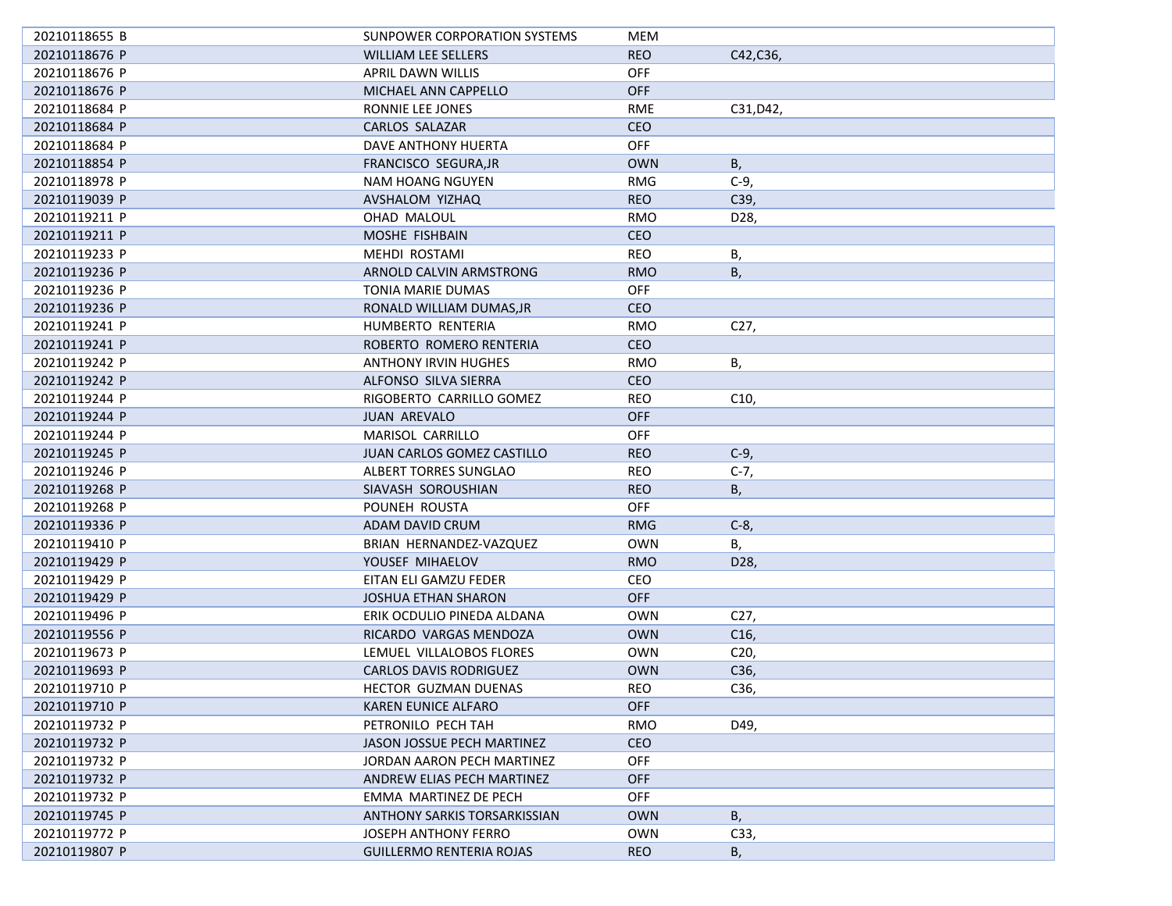| 20210118655 B | SUNPOWER CORPORATION SYSTEMS    | MEM        |                   |
|---------------|---------------------------------|------------|-------------------|
| 20210118676 P | <b>WILLIAM LEE SELLERS</b>      | <b>REO</b> | C42, C36,         |
| 20210118676 P | APRIL DAWN WILLIS               | <b>OFF</b> |                   |
| 20210118676 P | MICHAEL ANN CAPPELLO            | <b>OFF</b> |                   |
| 20210118684 P | RONNIE LEE JONES                | <b>RME</b> | C31, D42,         |
| 20210118684 P | CARLOS SALAZAR                  | <b>CEO</b> |                   |
| 20210118684 P | DAVE ANTHONY HUERTA             | <b>OFF</b> |                   |
|               |                                 |            |                   |
| 20210118854 P | FRANCISCO SEGURA, JR            | <b>OWN</b> | В,                |
| 20210118978 P | NAM HOANG NGUYEN                | <b>RMG</b> | $C-9$             |
| 20210119039 P | AVSHALOM YIZHAQ                 | <b>REO</b> | C39,              |
| 20210119211 P | OHAD MALOUL                     | RMO        | D28,              |
| 20210119211 P | MOSHE FISHBAIN                  | <b>CEO</b> |                   |
| 20210119233 P | MEHDI ROSTAMI                   | <b>REO</b> | В,                |
| 20210119236 P | ARNOLD CALVIN ARMSTRONG         | <b>RMO</b> | Β,                |
| 20210119236 P | TONIA MARIE DUMAS               | <b>OFF</b> |                   |
| 20210119236 P | RONALD WILLIAM DUMAS, JR        | <b>CEO</b> |                   |
| 20210119241 P | HUMBERTO RENTERIA               | <b>RMO</b> | C <sub>27</sub> , |
| 20210119241 P | ROBERTO ROMERO RENTERIA         | <b>CEO</b> |                   |
| 20210119242 P | <b>ANTHONY IRVIN HUGHES</b>     | <b>RMO</b> | В,                |
| 20210119242 P | ALFONSO SILVA SIERRA            | <b>CEO</b> |                   |
| 20210119244 P | RIGOBERTO CARRILLO GOMEZ        | <b>REO</b> | C10,              |
| 20210119244 P | <b>JUAN AREVALO</b>             | <b>OFF</b> |                   |
| 20210119244 P | MARISOL CARRILLO                | <b>OFF</b> |                   |
| 20210119245 P | JUAN CARLOS GOMEZ CASTILLO      | <b>REO</b> | $C-9$             |
| 20210119246 P | ALBERT TORRES SUNGLAO           | <b>REO</b> | C-7,              |
| 20210119268 P | SIAVASH SOROUSHIAN              | <b>REO</b> | В,                |
| 20210119268 P | POUNEH ROUSTA                   | OFF        |                   |
| 20210119336 P | ADAM DAVID CRUM                 | <b>RMG</b> | $C-8$             |
| 20210119410 P | BRIAN HERNANDEZ-VAZQUEZ         | <b>OWN</b> | В,                |
| 20210119429 P | YOUSEF MIHAELOV                 | <b>RMO</b> | D <sub>28</sub>   |
| 20210119429 P | EITAN ELI GAMZU FEDER           | CEO        |                   |
| 20210119429 P | <b>JOSHUA ETHAN SHARON</b>      | <b>OFF</b> |                   |
| 20210119496 P | ERIK OCDULIO PINEDA ALDANA      | <b>OWN</b> | C27,              |
| 20210119556 P | RICARDO VARGAS MENDOZA          | <b>OWN</b> | C <sub>16</sub>   |
| 20210119673 P | LEMUEL VILLALOBOS FLORES        | <b>OWN</b> | C20,              |
| 20210119693 P | <b>CARLOS DAVIS RODRIGUEZ</b>   | <b>OWN</b> | C36,              |
| 20210119710 P | HECTOR GUZMAN DUENAS            | <b>REO</b> | C36,              |
| 20210119710 P | KAREN EUNICE ALFARO             | <b>OFF</b> |                   |
| 20210119732 P | PETRONILO PECH TAH              | <b>RMO</b> | D49,              |
| 20210119732 P | JASON JOSSUE PECH MARTINEZ      | CEO        |                   |
| 20210119732 P | JORDAN AARON PECH MARTINEZ      | OFF        |                   |
| 20210119732 P | ANDREW ELIAS PECH MARTINEZ      | <b>OFF</b> |                   |
| 20210119732 P | EMMA MARTINEZ DE PECH           | <b>OFF</b> |                   |
| 20210119745 P | ANTHONY SARKIS TORSARKISSIAN    | <b>OWN</b> | B,                |
| 20210119772 P | JOSEPH ANTHONY FERRO            | <b>OWN</b> | C33,              |
| 20210119807 P | <b>GUILLERMO RENTERIA ROJAS</b> | <b>REO</b> | В,                |